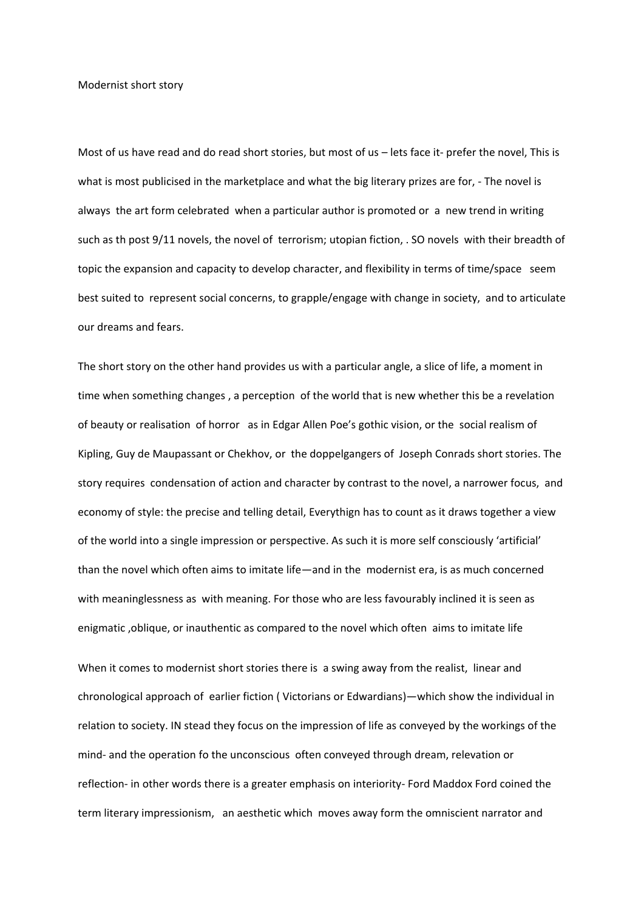Modernist short story

Most of us have read and do read short stories, but most of us – lets face it- prefer the novel, This is what is most publicised in the marketplace and what the big literary prizes are for, - The novel is always the art form celebrated when a particular author is promoted or a new trend in writing such as th post 9/11 novels, the novel of terrorism; utopian fiction, . SO novels with their breadth of topic the expansion and capacity to develop character, and flexibility in terms of time/space seem best suited to represent social concerns, to grapple/engage with change in society, and to articulate our dreams and fears.

The short story on the other hand provides us with a particular angle, a slice of life, a moment in time when something changes , a perception of the world that is new whether this be a revelation of beauty or realisation of horror as in Edgar Allen Poe's gothic vision, or the social realism of Kipling, Guy de Maupassant or Chekhov, or the doppelgangers of Joseph Conrads short stories. The story requires condensation of action and character by contrast to the novel, a narrower focus, and economy of style: the precise and telling detail, Everythign has to count as it draws together a view of the world into a single impression or perspective. As such it is more self consciously 'artificial' than the novel which often aims to imitate life—and in the modernist era, is as much concerned with meaninglessness as with meaning. For those who are less favourably inclined it is seen as enigmatic ,oblique, or inauthentic as compared to the novel which often aims to imitate life

When it comes to modernist short stories there is a swing away from the realist, linear and chronological approach of earlier fiction ( Victorians or Edwardians)—which show the individual in relation to society. IN stead they focus on the impression of life as conveyed by the workings of the mind- and the operation fo the unconscious often conveyed through dream, relevation or reflection- in other words there is a greater emphasis on interiority- Ford Maddox Ford coined the term literary impressionism, an aesthetic which moves away form the omniscient narrator and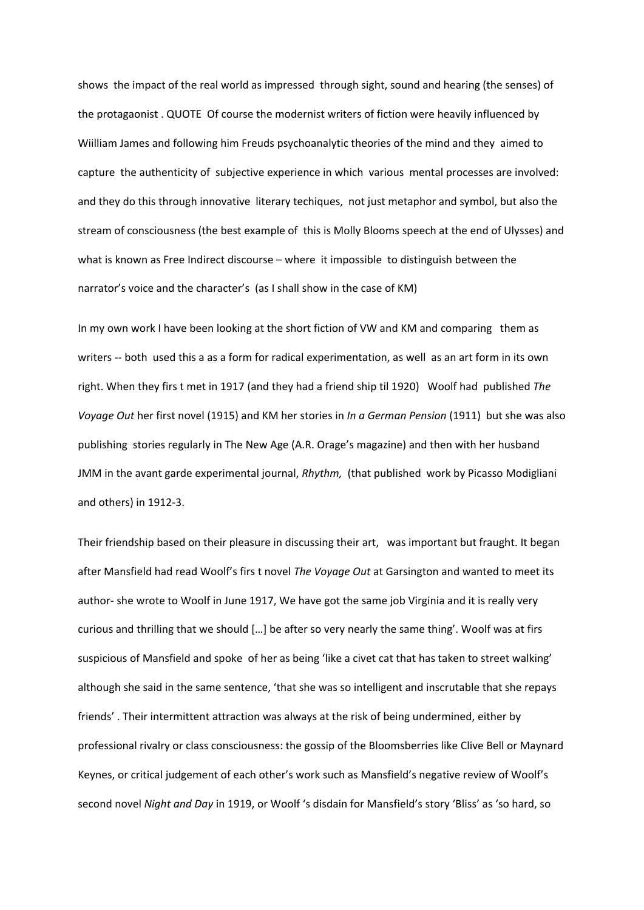shows the impact of the real world as impressed through sight, sound and hearing (the senses) of the protagaonist . QUOTE Of course the modernist writers of fiction were heavily influenced by Wiilliam James and following him Freuds psychoanalytic theories of the mind and they aimed to capture the authenticity of subjective experience in which various mental processes are involved: and they do this through innovative literary techiques, not just metaphor and symbol, but also the stream of consciousness (the best example of this is Molly Blooms speech at the end of Ulysses) and what is known as Free Indirect discourse – where it impossible to distinguish between the narrator's voice and the character's (as I shall show in the case of KM)

In my own work I have been looking at the short fiction of VW and KM and comparing them as writers -- both used this a as a form for radical experimentation, as well as an art form in its own right. When they firs t met in 1917 (and they had a friend ship til 1920) Woolf had published *The Voyage Out* her first novel (1915) and KM her stories in *In a German Pension* (1911) but she was also publishing stories regularly in The New Age (A.R. Orage's magazine) and then with her husband JMM in the avant garde experimental journal, *Rhythm,* (that published work by Picasso Modigliani and others) in 1912-3.

Their friendship based on their pleasure in discussing their art, was important but fraught. It began after Mansfield had read Woolf's firs t novel *The Voyage Out* at Garsington and wanted to meet its author- she wrote to Woolf in June 1917, We have got the same job Virginia and it is really very curious and thrilling that we should […] be after so very nearly the same thing'. Woolf was at firs suspicious of Mansfield and spoke of her as being 'like a civet cat that has taken to street walking' although she said in the same sentence, 'that she was so intelligent and inscrutable that she repays friends' . Their intermittent attraction was always at the risk of being undermined, either by professional rivalry or class consciousness: the gossip of the Bloomsberries like Clive Bell or Maynard Keynes, or critical judgement of each other's work such as Mansfield's negative review of Woolf's second novel *Night and Day* in 1919, or Woolf 's disdain for Mansfield's story 'Bliss' as 'so hard, so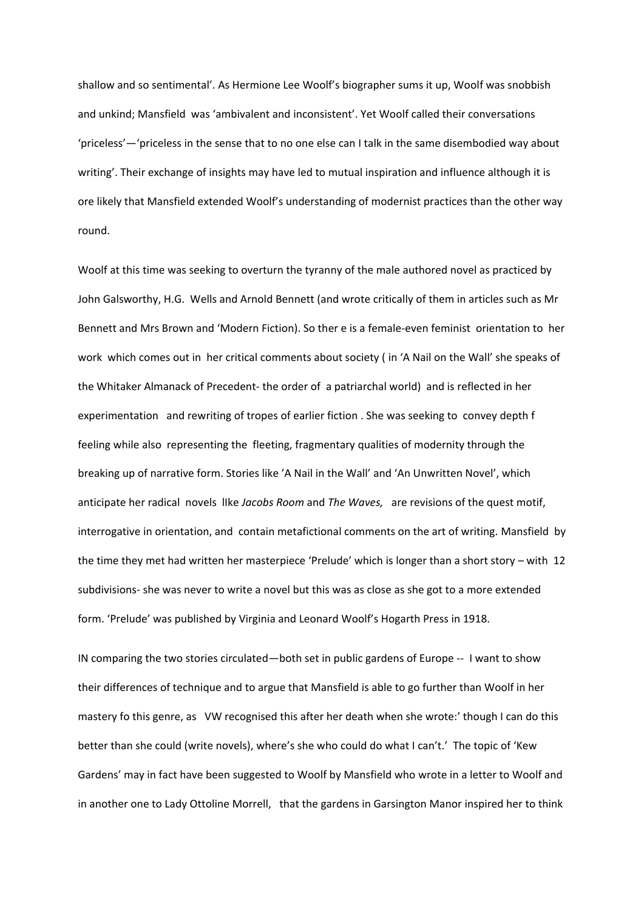shallow and so sentimental'. As Hermione Lee Woolf's biographer sums it up, Woolf was snobbish and unkind; Mansfield was 'ambivalent and inconsistent'. Yet Woolf called their conversations 'priceless'—'priceless in the sense that to no one else can I talk in the same disembodied way about writing'. Their exchange of insights may have led to mutual inspiration and influence although it is ore likely that Mansfield extended Woolf's understanding of modernist practices than the other way round.

Woolf at this time was seeking to overturn the tyranny of the male authored novel as practiced by John Galsworthy, H.G. Wells and Arnold Bennett (and wrote critically of them in articles such as Mr Bennett and Mrs Brown and 'Modern Fiction). So ther e is a female-even feminist orientation to her work which comes out in her critical comments about society ( in 'A Nail on the Wall' she speaks of the Whitaker Almanack of Precedent- the order of a patriarchal world) and is reflected in her experimentation and rewriting of tropes of earlier fiction . She was seeking to convey depth f feeling while also representing the fleeting, fragmentary qualities of modernity through the breaking up of narrative form. Stories like 'A Nail in the Wall' and 'An Unwritten Novel', which anticipate her radical novels lIke *Jacobs Room* and *The Waves,* are revisions of the quest motif, interrogative in orientation, and contain metafictional comments on the art of writing. Mansfield by the time they met had written her masterpiece 'Prelude' which is longer than a short story – with 12 subdivisions- she was never to write a novel but this was as close as she got to a more extended form. 'Prelude' was published by Virginia and Leonard Woolf's Hogarth Press in 1918.

IN comparing the two stories circulated—both set in public gardens of Europe -- I want to show their differences of technique and to argue that Mansfield is able to go further than Woolf in her mastery fo this genre, as VW recognised this after her death when she wrote:' though I can do this better than she could (write novels), where's she who could do what I can't.' The topic of 'Kew Gardens' may in fact have been suggested to Woolf by Mansfield who wrote in a letter to Woolf and in another one to Lady Ottoline Morrell, that the gardens in Garsington Manor inspired her to think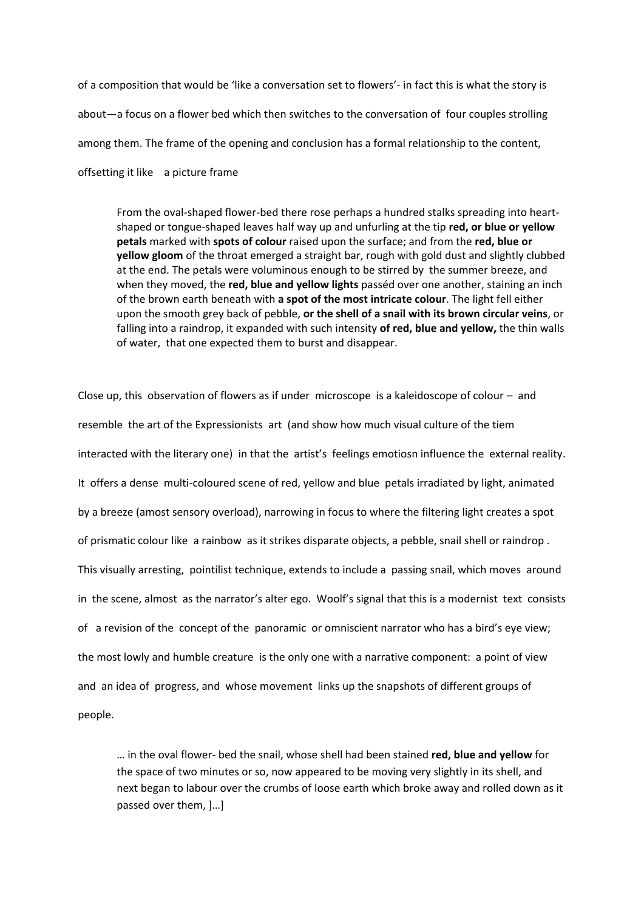of a composition that would be 'like a conversation set to flowers'- in fact this is what the story is about—a focus on a flower bed which then switches to the conversation of four couples strolling among them. The frame of the opening and conclusion has a formal relationship to the content, offsetting it like a picture frame

From the oval-shaped flower-bed there rose perhaps a hundred stalks spreading into heartshaped or tongue-shaped leaves half way up and unfurling at the tip **red, or blue or yellow petals** marked with **spots of colour** raised upon the surface; and from the **red, blue or yellow gloom** of the throat emerged a straight bar, rough with gold dust and slightly clubbed at the end. The petals were voluminous enough to be stirred by the summer breeze, and when they moved, the **red, blue and yellow lights** passéd over one another, staining an inch of the brown earth beneath with **a spot of the most intricate colour**. The light fell either upon the smooth grey back of pebble, **or the shell of a snail with its brown circular veins**, or falling into a raindrop, it expanded with such intensity **of red, blue and yellow,** the thin walls of water, that one expected them to burst and disappear.

Close up, this observation of flowers as if under microscope is a kaleidoscope of colour – and resemble the art of the Expressionists art (and show how much visual culture of the tiem interacted with the literary one) in that the artist's feelings emotiosn influence the external reality. It offers a dense multi-coloured scene of red, yellow and blue petals irradiated by light, animated by a breeze (amost sensory overload), narrowing in focus to where the filtering light creates a spot of prismatic colour like a rainbow as it strikes disparate objects, a pebble, snail shell or raindrop . This visually arresting, pointilist technique, extends to include a passing snail, which moves around in the scene, almost as the narrator's alter ego. Woolf's signal that this is a modernist text consists of a revision of the concept of the panoramic or omniscient narrator who has a bird's eye view; the most lowly and humble creature is the only one with a narrative component: a point of view and an idea of progress, and whose movement links up the snapshots of different groups of people.

… in the oval flower- bed the snail, whose shell had been stained **red, blue and yellow** for the space of two minutes or so, now appeared to be moving very slightly in its shell, and next began to labour over the crumbs of loose earth which broke away and rolled down as it passed over them, ]…]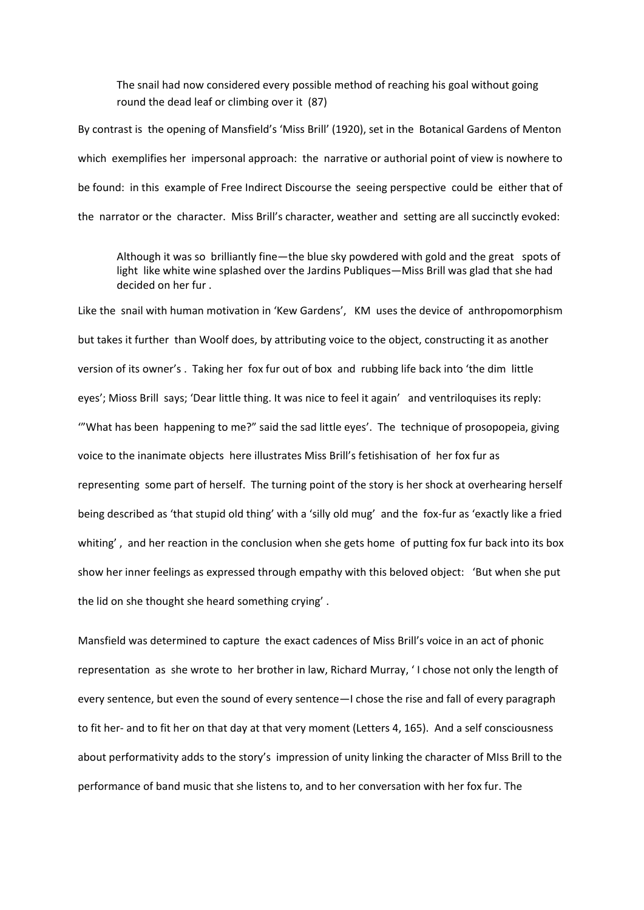The snail had now considered every possible method of reaching his goal without going round the dead leaf or climbing over it (87)

By contrast is the opening of Mansfield's 'Miss Brill' (1920), set in the Botanical Gardens of Menton which exemplifies her impersonal approach: the narrative or authorial point of view is nowhere to be found: in this example of Free Indirect Discourse the seeing perspective could be either that of the narrator or the character. Miss Brill's character, weather and setting are all succinctly evoked:

Although it was so brilliantly fine—the blue sky powdered with gold and the great spots of light like white wine splashed over the Jardins Publiques—Miss Brill was glad that she had decided on her fur .

Like the snail with human motivation in 'Kew Gardens', KM uses the device of anthropomorphism but takes it further than Woolf does, by attributing voice to the object, constructing it as another version of its owner's . Taking her fox fur out of box and rubbing life back into 'the dim little eyes'; Mioss Brill says; 'Dear little thing. It was nice to feel it again' and ventriloquises its reply: '"What has been happening to me?" said the sad little eyes'. The technique of prosopopeia, giving voice to the inanimate objects here illustrates Miss Brill's fetishisation of her fox fur as representing some part of herself. The turning point of the story is her shock at overhearing herself being described as 'that stupid old thing' with a 'silly old mug' and the fox-fur as 'exactly like a fried whiting', and her reaction in the conclusion when she gets home of putting fox fur back into its box show her inner feelings as expressed through empathy with this beloved object: 'But when she put the lid on she thought she heard something crying' .

Mansfield was determined to capture the exact cadences of Miss Brill's voice in an act of phonic representation as she wrote to her brother in law, Richard Murray, ' I chose not only the length of every sentence, but even the sound of every sentence—I chose the rise and fall of every paragraph to fit her- and to fit her on that day at that very moment (Letters 4, 165). And a self consciousness about performativity adds to the story's impression of unity linking the character of MIss Brill to the performance of band music that she listens to, and to her conversation with her fox fur. The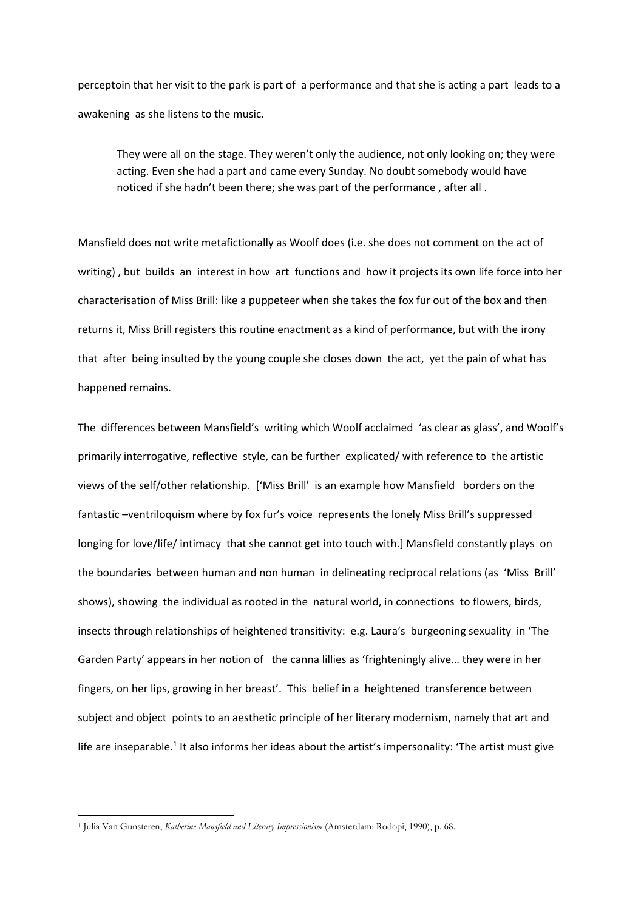perceptoin that her visit to the park is part of a performance and that she is acting a part leads to a awakening as she listens to the music.

They were all on the stage. They weren't only the audience, not only looking on; they were acting. Even she had a part and came every Sunday. No doubt somebody would have noticed if she hadn't been there; she was part of the performance , after all .

Mansfield does not write metafictionally as Woolf does (i.e. she does not comment on the act of writing) , but builds an interest in how art functions and how it projects its own life force into her characterisation of Miss Brill: like a puppeteer when she takes the fox fur out of the box and then returns it, Miss Brill registers this routine enactment as a kind of performance, but with the irony that after being insulted by the young couple she closes down the act, yet the pain of what has happened remains.

The differences between Mansfield's writing which Woolf acclaimed 'as clear as glass', and Woolf's primarily interrogative, reflective style, can be further explicated/ with reference to the artistic views of the self/other relationship. ['Miss Brill' is an example how Mansfield borders on the fantastic –ventriloquism where by fox fur's voice represents the lonely Miss Brill's suppressed longing for love/life/ intimacy that she cannot get into touch with.] Mansfield constantly plays on the boundaries between human and non human in delineating reciprocal relations (as 'Miss Brill' shows), showing the individual as rooted in the natural world, in connections to flowers, birds, insects through relationships of heightened transitivity: e.g. Laura's burgeoning sexuality in 'The Garden Party' appears in her notion of the canna lillies as 'frighteningly alive… they were in her fingers, on her lips, growing in her breast'. This belief in a heightened transference between subject and object points to an aesthetic principle of her literary modernism, namely that art and life are inseparable.<sup>1</sup> It also informs her ideas about the artist's impersonality: 'The artist must give

**.** 

<sup>1</sup> Julia Van Gunsteren, *Katherine Mansfield and Literary Impressionism* (Amsterdam: Rodopi, 1990), p. 68.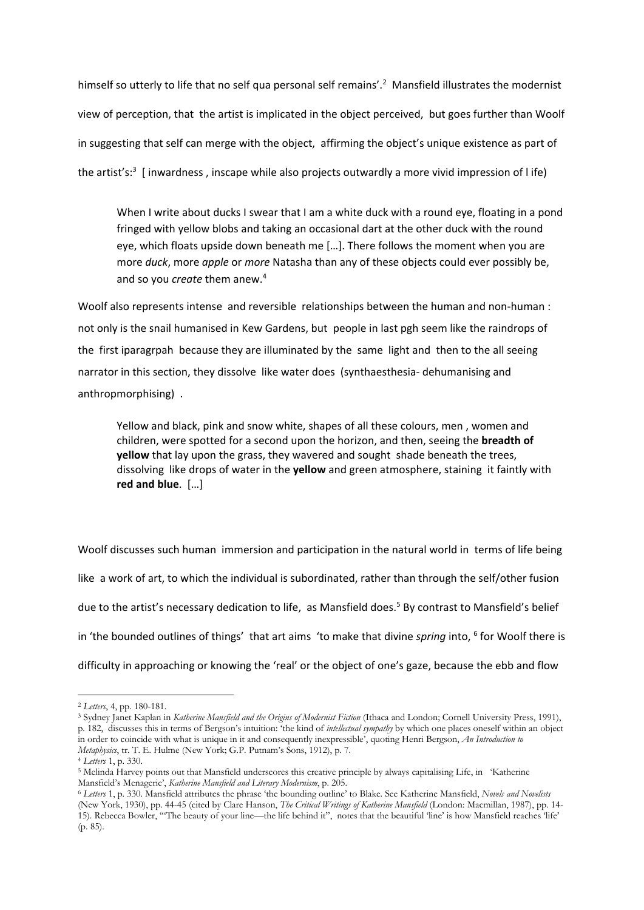himself so utterly to life that no self qua personal self remains'.<sup>2</sup> Mansfield illustrates the modernist view of perception, that the artist is implicated in the object perceived, but goes further than Woolf in suggesting that self can merge with the object, affirming the object's unique existence as part of the artist's:<sup>3</sup> [inwardness, inscape while also projects outwardly a more vivid impression of life)

When I write about ducks I swear that I am a white duck with a round eye, floating in a pond fringed with yellow blobs and taking an occasional dart at the other duck with the round eye, which floats upside down beneath me […]. There follows the moment when you are more *duck*, more *apple* or *more* Natasha than any of these objects could ever possibly be, and so you *create* them anew.<sup>4</sup>

Woolf also represents intense and reversible relationships between the human and non-human : not only is the snail humanised in Kew Gardens, but people in last pgh seem like the raindrops of the first iparagrpah because they are illuminated by the same light and then to the all seeing narrator in this section, they dissolve like water does (synthaesthesia- dehumanising and anthropmorphising) .

Yellow and black, pink and snow white, shapes of all these colours, men , women and children, were spotted for a second upon the horizon, and then, seeing the **breadth of yellow** that lay upon the grass, they wavered and sought shade beneath the trees, dissolving like drops of water in the **yellow** and green atmosphere, staining it faintly with **red and blue**. […]

Woolf discusses such human immersion and participation in the natural world in terms of life being like a work of art, to which the individual is subordinated, rather than through the self/other fusion due to the artist's necessary dedication to life, as Mansfield does.<sup>5</sup> By contrast to Mansfield's belief in 'the bounded outlines of things' that art aims 'to make that divine *spring* into, 6 for Woolf there is difficulty in approaching or knowing the 'real' or the object of one's gaze, because the ebb and flow

**.** 

<sup>2</sup> *Letters*, 4, pp. 180-181.

<sup>3</sup> Sydney Janet Kaplan in *Katherine Mansfield and the Origins of Modernist Fiction* (Ithaca and London; Cornell University Press, 1991), p. 182, discusses this in terms of Bergson's intuition: 'the kind of *intellectual sympathy* by which one places oneself within an object in order to coincide with what is unique in it and consequently inexpressible', quoting Henri Bergson, *An Introduction to Metaphysics*, tr. T. E. Hulme (New York; G.P. Putnam's Sons, 1912), p. 7.

<sup>4</sup> *Letters* 1, p. 330.

<sup>5</sup> Melinda Harvey points out that Mansfield underscores this creative principle by always capitalising Life, in 'Katherine Mansfield's Menagerie', *Katherine Mansfield and Literary Modernism*, p. 205.

<sup>6</sup> *Letters* 1, p. 330. Mansfield attributes the phrase 'the bounding outline' to Blake. See Katherine Mansfield, *Novels and Novelists* (New York, 1930), pp. 44-45 (cited by Clare Hanson, *The Critical Writings of Katherine Mansfield* (London: Macmillan, 1987), pp. 14- 15). Rebecca Bowler, '"The beauty of your line—the life behind it", notes that the beautiful 'line' is how Mansfield reaches 'life' (p. 85).